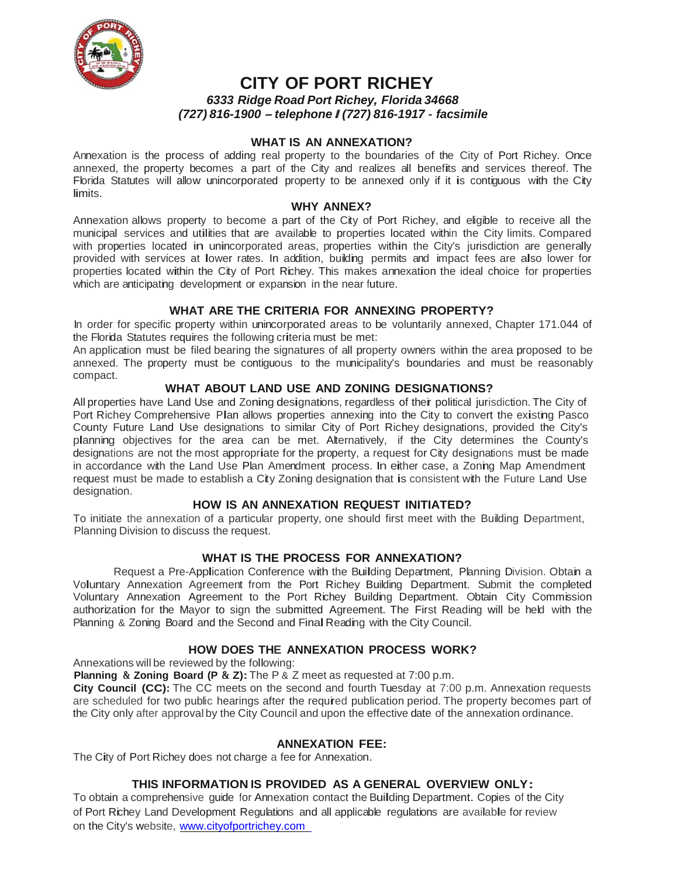

# **CITY OF PORT RICHEY**

*6333 Ridge Road Port Richey, Florida 34668 (727) 816-1900 -telephone I (727) 816-1917 - facsimile*

### **WHAT IS AN ANNEXATION?**

Annexation is the process of adding real property to the boundaries of the City of Port Richey. Once annexed, the property becomes a part of the City and realizes all benefits and services thereof. The Florida Statutes will allow unincorporated property to be annexed only if it is contiguous with the City limits.

#### **WHY ANNEX?**

Annexation allows property to become a part of the City of Port Richey, and eligible to receive all the municipal services and utilities that are available to properties located within the City limits. Compared with properties located in unincorporated areas, properties within the City's jurisdiction are generally provided with services at lower rates. In addition, building permits and impact fees are also lower for properties located within the City of Port Richey. This makes annexation the ideal choice for properties which are anticipating development or expansion in the near future.

### **WHAT ARE THE CRITERIA FOR ANNEXING PROPERTY?**

In order for specific property within unincorporated areas to be voluntarily annexed, Chapter 171.044 of the Florida Statutes requires the following criteria must be met:

An application must be filed bearing the signatures of all property owners within the area proposed to be annexed. The property must be contiguous to the municipality's boundaries and must be reasonably compact.

#### **WHAT ABOUT LAND USE AND ZONING DESIGNATIONS?**

All properties have Land Use and Zoning designations, regardless of their political jurisdiction. The City of Port Richey Comprehensive Plan allows properties annexing into the City to convert the existing Pasco County Future Land Use designations to similar City of Port Richey designations, provided the City's planning objectives for the area can be met. Alternatively, if the City determines the County's designations are not the most appropriate for the property, a request for City designations must be made in accordance with the Land Use Plan Amendment process. In either case, a Zoning Map Amendment request must be made to establish a City Zoning designation that is consistent with the Future Land Use designation.

#### **HOW IS AN ANNEXATION REQUEST INITIATED?**

To initiate the annexation of a particular property, one should first meet with the Building Department, Planning Division to discuss the request.

# **WHAT IS THE PROCESS FOR ANNEXATION?**

Request a Pre-Application Conference with the Building Department, Planning Division. Obtain a Voluntary Annexation Agreement from the Port Richey Building Department. Submit the completed Voluntary Annexation Agreement to the Port Richey Building Department. Obtain City Commission authorization for the Mayor to sign the submitted Agreement. The First Reading will be held with the Planning & Zoning Board and the Second and Final Reading with the City Council.

#### **HOW DOES THE ANNEXATION PROCESS WORK?**

Annexations will be reviewed by the following:

**Planning & Zoning Board (P & Z):**The P & Z meet as requested at 7:00 p.m.

**City Council (CC):** The CC meets on the second and fourth Tuesday at 7:00 p.m. Annexation requests are scheduled for two public hearings after the required publication period. The property becomes part of the City only after approval by the City Council and upon the effective date of the annexation ordinance.

#### **ANNEXATION FEE:**

The City of Port Richey does not charge a fee for Annexation.

#### **THIS INFORMATION IS PROVIDED AS A GENERAL OVERVIEW ONLY:**

To obtain a comprehensive guide for Annexation contact the Building Department. Copies of the City of Port Richey Land Development Regulations and all applicable regulations are available for review on the City's website, www.cityofportrichey.com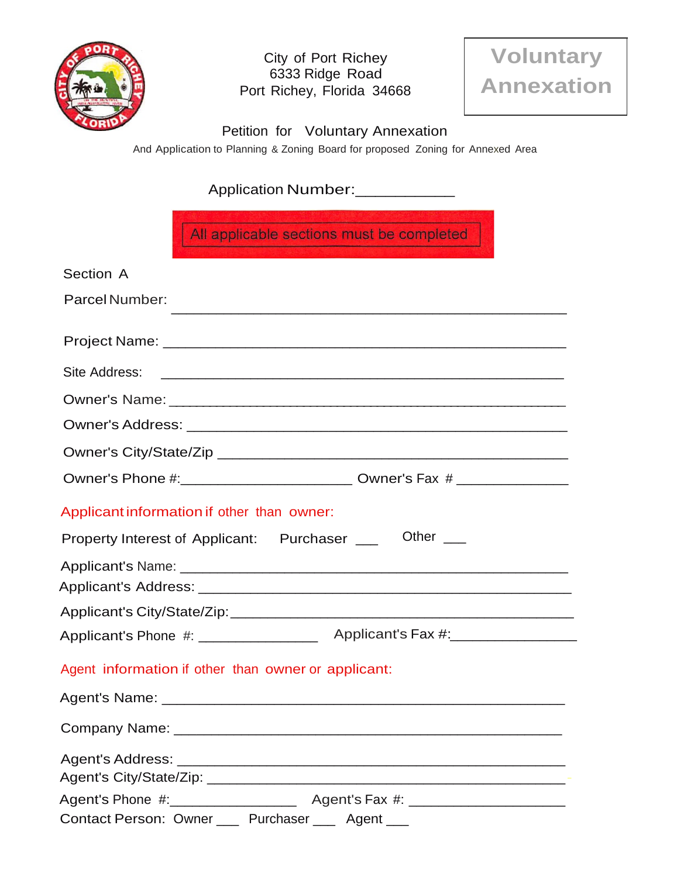

City of Port Richey 6333 Ridge Road Port Richey, Florida 34668



Petition for Voluntary Annexation

And Application to Planning & Zoning Board for proposed Zoning for Annexed Area

# Application Number:\_\_\_\_\_\_\_\_\_\_\_

| All applicable sections must be completed                                                                                               |
|-----------------------------------------------------------------------------------------------------------------------------------------|
| Section A                                                                                                                               |
| Parcel Number:<br><u> 1989 - Johann Stoff, deutscher Stoff, der Stoff, der Stoff, der Stoff, der Stoff, der Stoff, der Stoff, der S</u> |
|                                                                                                                                         |
| Site Address:                                                                                                                           |
|                                                                                                                                         |
|                                                                                                                                         |
|                                                                                                                                         |
| Owner's Phone #:_______________________________ Owner's Fax # __________________                                                        |
| Applicant information if other than owner:                                                                                              |
| Other $\_\_$                                                                                                                            |
| Property Interest of Applicant: Purchaser ___                                                                                           |
|                                                                                                                                         |
|                                                                                                                                         |
|                                                                                                                                         |
| Agent information if other than owner or applicant:                                                                                     |
| Agent's Name: ________                                                                                                                  |
|                                                                                                                                         |
|                                                                                                                                         |
|                                                                                                                                         |
| Contact Person: Owner ____ Purchaser ____ Agent ___                                                                                     |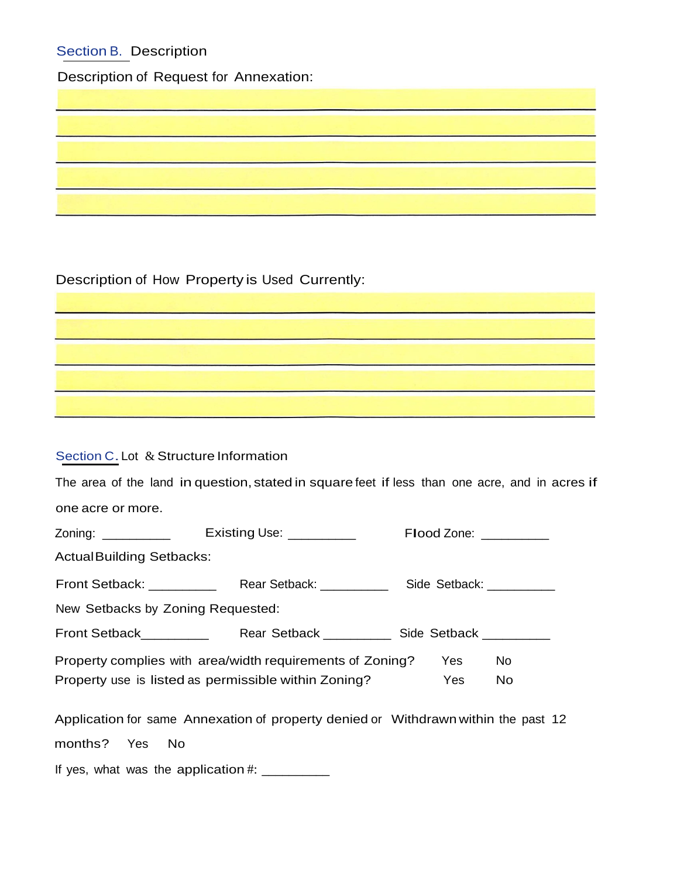# Section B. Description

Description of Request for Annexation:

Description of How Property is Used Currently:

# Section C. Lot & Structure Information

|                                   |                                                                                    | The area of the land in question, stated in square feet if less than one acre, and in acres if |  |
|-----------------------------------|------------------------------------------------------------------------------------|------------------------------------------------------------------------------------------------|--|
| one acre or more.                 |                                                                                    |                                                                                                |  |
|                                   | Zoning: _____________  Existing Use: ___________                                   | Flood Zone: _________                                                                          |  |
| <b>ActualBuilding Setbacks:</b>   |                                                                                    |                                                                                                |  |
|                                   |                                                                                    |                                                                                                |  |
| New Setbacks by Zoning Requested: |                                                                                    |                                                                                                |  |
|                                   |                                                                                    |                                                                                                |  |
|                                   | Property complies with area/width requirements of Zoning?                          | <b>No</b><br>Yes                                                                               |  |
|                                   | Property use is listed as permissible within Zoning?                               | Yes<br>No                                                                                      |  |
|                                   | Application for same Annexation of property denied or Withdrawn within the past 12 |                                                                                                |  |
| months? Yes No                    |                                                                                    |                                                                                                |  |

<u> Alexandria (Carlo Carlo)</u>

If yes, what was the application #: \_\_\_\_\_\_\_\_\_\_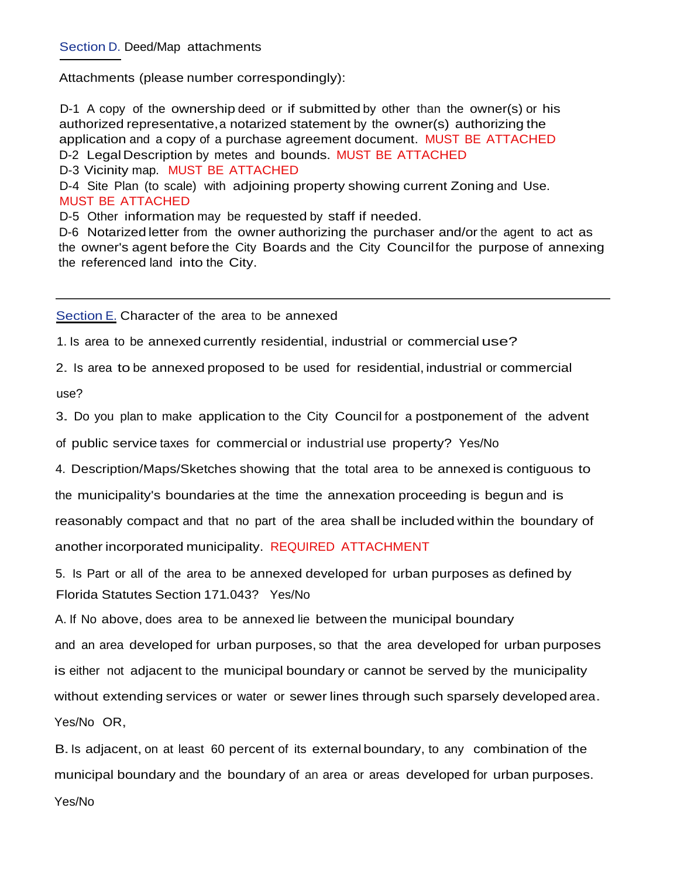### Section D. Deed/Map attachments

Attachments (please number correspondingly):

D-1 A copy of the ownership deed or if submitted by other than the owner(s) or his authorized representative, a notarized statement by the owner(s) authorizing the application and a copy of a purchase agreement document. MUST BE ATTACHED D-2 Legal Description by metes and bounds. MUST BE ATTACHED D-3 Vicinity map. MUST BE ATTACHED D-4 Site Plan (to scale) with adjoining property showing current Zoning and Use. MUST BE ATTACHED D-5 Other information may be requested by staff if needed.

D-6 Notarized letter from the owner authorizing the purchaser and/or the agent to act as the owner's agent before the City Boards and the City Councilfor the purpose of annexing the referenced land into the City.

Section E. Character of the area to be annexed

1. Is area to be annexed currently residential, industrial or commercial use?

2. Is area to be annexed proposed to be used for residential, industrial or commercial

use?

3. Do you plan to make application to the City Council for a postponement of the advent

of public service taxes for commercial or industrial use property? Yes/No

4. Description/Maps/Sketches showing that the total area to be annexed is contiguous to

the municipality's boundaries at the time the annexation proceeding is begun and is

reasonably compact and that no part of the area shall be included within the boundary of

another incorporated municipality. REQUIRED ATTACHMENT

5. Is Part or all of the area to be annexed developed for urban purposes as defined by Florida Statutes Section 171.043? Yes/No

A. If No above, does area to be annexed lie between the municipal boundary and an area developed for urban purposes, so that the area developed for urban purposes is either not adjacent to the municipal boundary or cannot be served by the municipality without extending services or water or sewer lines through such sparsely developed area. Yes/No OR,

B.Is adjacent, on at least 60 percent of its external boundary, to any combination of the municipal boundary and the boundary of an area or areas developed for urban purposes. Yes/No